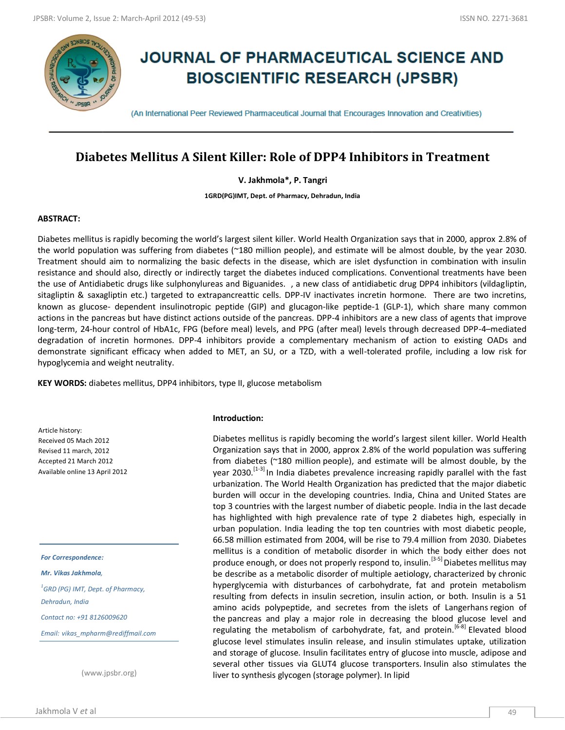

# **JOURNAL OF PHARMACEUTICAL SCIENCE AND BIOSCIENTIFIC RESEARCH (JPSBR)**

(An International Peer Reviewed Pharmaceutical Journal that Encourages Innovation and Creativities)

## **Diabetes Mellitus A Silent Killer: Role of DPP4 Inhibitors in Treatment**

**V. Jakhmola\*, P. Tangri**

**1GRD(PG)IMT, Dept. of Pharmacy, Dehradun, India**

#### **ABSTRACT:**

Diabetes mellitus is rapidly becoming the world's largest silent killer. World Health Organization says that in 2000, approx 2.8% of the world population was suffering from diabetes (~180 million people), and estimate will be almost double, by the year 2030. Treatment should aim to normalizing the basic defects in the disease, which are islet dysfunction in combination with insulin resistance and should also, directly or indirectly target the diabetes induced complications. Conventional treatments have been the use of Antidiabetic drugs like sulphonylureas and Biguanides. , a new class of antidiabetic drug DPP4 inhibitors (vildagliptin, sitagliptin & saxagliptin etc.) targeted to extrapancreattic cells. DPP-IV inactivates incretin hormone. There are two incretins, known as glucose- dependent insulinotropic peptide (GIP) and glucagon-like peptide-1 (GLP-1), which share many common actions in the pancreas but have distinct actions outside of the pancreas. DPP-4 inhibitors are a new class of agents that improve long-term, 24-hour control of HbA1c, FPG (before meal) levels, and PPG (after meal) levels through decreased DPP-4–mediated degradation of incretin hormones. DPP-4 inhibitors provide a complementary mechanism of action to existing OADs and demonstrate significant efficacy when added to MET, an SU, or a TZD, with a well-tolerated profile, including a low risk for hypoglycemia and weight neutrality.

**KEY WORDS:** diabetes mellitus, DPP4 inhibitors, type II, glucose metabolism

Article history: Received 05 Mach 2012 Revised 11 march, 2012 Accepted 21 March 2012 Available online 13 April 2012

*For Correspondence:*

*Mr. Vikas Jakhmola,*

*1 GRD (PG) IMT, Dept. of Pharmacy, Dehradun, India Contact no: +91 8126009620*

*Email: vikas\_mpharm@rediffmail.com*

(www.jpsbr.org)

#### **Introduction:**

Diabetes mellitus is rapidly becoming the world's largest silent killer. World Health Organization says that in 2000, approx 2.8% of the world population was suffering from diabetes (~180 million people), and estimate will be almost double, by the year 2030.<sup>[1-3]</sup> In India diabetes prevalence increasing rapidly parallel with the fast urbanization. The World Health Organization has predicted that the major diabetic burden will occur in the developing countries. India, China and United States are top 3 countries with the largest number of diabetic people. India in the last decade has highlighted with high prevalence rate of type 2 diabetes high, especially in urban population. India leading the top ten countries with most diabetic people, 66.58 million estimated from 2004, will be rise to 79.4 million from 2030. Diabetes mellitus is a condition of metabolic disorder in which the body either does not produce enough, or does not properly respond to, insulin.<sup>[3-5]</sup> Diabetes mellitus may be describe as a metabolic disorder of multiple aetiology, characterized by chronic hyperglycemia with disturbances of carbohydrate, fat and protein metabolism resulting from defects in insulin secretion, insulin action, or both. Insulin is a 51 amino acids polypeptide, and secretes from the islets of Langerhans region of the pancreas and play a major role in decreasing the blood glucose level and regulating the metabolism of carbohydrate, fat, and protein.<sup>[6-8]</sup> Elevated blood glucose level stimulates insulin release, and insulin stimulates uptake, utilization and storage of glucose. Insulin facilitates entry of glucose into muscle, adipose and several other tissues via GLUT4 glucose transporters. Insulin also stimulates the liver to synthesis glycogen (storage polymer). In lipid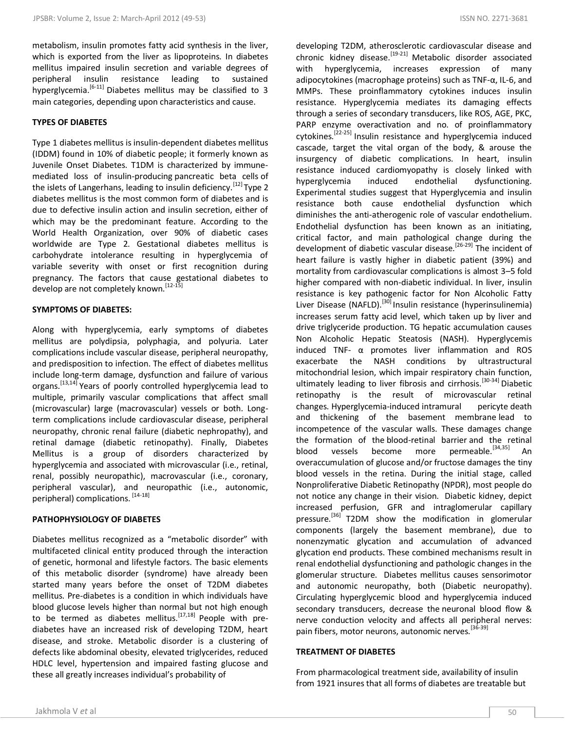metabolism, insulin promotes fatty acid synthesis in the liver, which is exported from the liver as lipoproteins. In diabetes mellitus impaired insulin secretion and variable degrees of peripheral insulin resistance leading to sustained hyperglycemia.<sup>[6-11]</sup> Diabetes mellitus may be classified to 3 main categories, depending upon characteristics and cause.

### **TYPES OF DIABETES**

Type 1 diabetes mellitus is insulin-dependent diabetes mellitus (IDDM) found in 10% of diabetic people; it formerly known as Juvenile Onset Diabetes. T1DM is characterized by immunemediated loss of insulin-producing pancreatic beta cells of the islets of Langerhans, leading to insulin deficiency.<sup>[12]</sup> Type 2 diabetes mellitus is the most common form of diabetes and is due to defective insulin action and insulin secretion, either of which may be the predominant feature. According to the World Health Organization, over 90% of diabetic cases worldwide are Type 2. Gestational diabetes mellitus is carbohydrate intolerance resulting in hyperglycemia of variable severity with onset or first recognition during pregnancy. The factors that cause gestational diabetes to develop are not completely known.<sup>[12-15]</sup>

#### **SYMPTOMS OF DIABETES:**

Along with hyperglycemia, early symptoms of diabetes mellitus are polydipsia, polyphagia, and polyuria. Later complications include vascular disease, peripheral neuropathy, and predisposition to infection. The effect of diabetes mellitus include long-term damage, dysfunction and failure of various organs.<sup>[13,14]</sup> Years of poorly controlled hyperglycemia lead to multiple, primarily vascular complications that affect small (microvascular) large (macrovascular) vessels or both. Longterm complications include cardiovascular disease, peripheral neuropathy, chronic renal failure (diabetic nephropathy), and retinal damage (diabetic retinopathy). Finally, Diabetes Mellitus is a group of disorders characterized by hyperglycemia and associated with microvascular (i.e., retinal, renal, possibly neuropathic), macrovascular (i.e., coronary, peripheral vascular), and neuropathic (i.e., autonomic, peripheral) complications. [14-18]

#### **PATHOPHYSIOLOGY OF DIABETES**

Diabetes mellitus recognized as a "metabolic disorder" with multifaceted clinical entity produced through the interaction of genetic, hormonal and lifestyle factors. The basic elements of this metabolic disorder (syndrome) have already been started many years before the onset of T2DM diabetes mellitus. Pre-diabetes is a condition in which individuals have blood glucose levels higher than normal but not high enough to be termed as diabetes mellitus.[17,18] People with prediabetes have an increased risk of developing T2DM, heart disease, and stroke. Metabolic disorder is a clustering of defects like abdominal obesity, elevated triglycerides, reduced HDLC level, hypertension and impaired fasting glucose and these all greatly increases individual's probability of

developing T2DM, atherosclerotic cardiovascular disease and chronic kidney disease.<sup>[19-21]</sup> Metabolic disorder associated with hyperglycemia, increases expression of many adipocytokines (macrophage proteins) such as TNF-α, IL-6, and MMPs. These proinflammatory cytokines induces insulin resistance. Hyperglycemia mediates its damaging effects through a series of secondary transducers, like ROS, AGE, PKC, PARP enzyme overactivation and no. of proinflammatory cytokines.<sup>[22-25]</sup> Insulin resistance and hyperglycemia induced cascade, target the vital organ of the body, & arouse the insurgency of diabetic complications. In heart, insulin resistance induced cardiomyopathy is closely linked with hyperglycemia induced endothelial dysfunctioning. Experimental studies suggest that Hyperglycemia and insulin resistance both cause endothelial dysfunction which diminishes the anti-atherogenic role of vascular endothelium. Endothelial dysfunction has been known as an initiating, critical factor, and main pathological change during the development of diabetic vascular disease.[26-29] The incident of heart failure is vastly higher in diabetic patient (39%) and mortality from cardiovascular complications is almost 3–5 fold higher compared with non-diabetic individual. In liver, insulin resistance is key pathogenic factor for Non Alcoholic Fatty Liver Disease (NAFLD).<sup>[30]</sup> Insulin resistance (hyperinsulinemia) increases serum fatty acid level, which taken up by liver and drive triglyceride production. TG hepatic accumulation causes Non Alcoholic Hepatic Steatosis (NASH). Hyperglycemis induced TNF- α promotes liver inflammation and ROS exacerbate the NASH conditions by ultrastructural mitochondrial lesion, which impair respiratory chain function, ultimately leading to liver fibrosis and cirrhosis.<sup>[30-34]</sup> Diabetic retinopathy is the result of microvascular retinal changes. Hyperglycemia-induced intramural pericyte death and thickening of the basement membrane lead to incompetence of the vascular walls. These damages change the formation of the blood-retinal barrier and the retinal blood vessels become more permeable.<sup>[34,35]</sup> An overaccumulation of glucose and/or fructose damages the tiny blood vessels in the retina. During the initial stage, called Nonproliferative Diabetic Retinopathy (NPDR), most people do not notice any change in their vision. Diabetic kidney, depict increased perfusion, GFR and intraglomerular capillary pressure.<sup>[36]</sup> T2DM show the modification in glomerular components (largely the basement membrane), due to nonenzymatic glycation and accumulation of advanced glycation end products. These combined mechanisms result in renal endothelial dysfunctioning and pathologic changes in the glomerular structure. Diabetes mellitus causes sensorimotor and autonomic neuropathy, both (Diabetic neuropathy). Circulating hyperglycemic blood and hyperglycemia induced secondary transducers, decrease the neuronal blood flow & nerve conduction velocity and affects all peripheral nerves: pain fibers, motor neurons, autonomic nerves.<sup>[36-39]</sup>

#### **TREATMENT OF DIABETES**

From pharmacological treatment side, availability of insulin from 1921 insures that all forms of diabetes are treatable but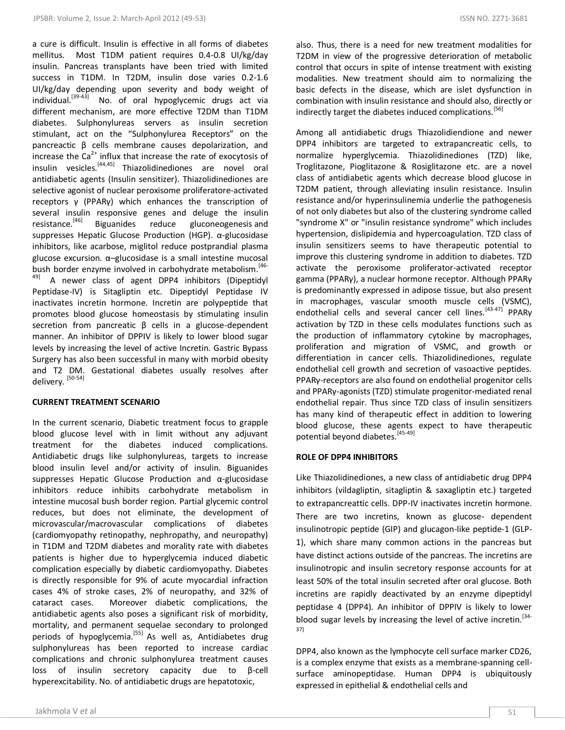a cure is difficult. Insulin is effective in all forms of diabetes mellitus. Most T1DM patient requires 0.4-0.8 UI/kg/day insulin. Pancreas transplants have been tried with limited success in T1DM. In T2DM, insulin dose varies 0.2-1.6 UI/kg/day depending upon severity and body weight of individual.[39-43] No. of oral hypoglycemic drugs act via different mechanism, are more effective T2DM than T1DM diabetes. Sulphonylureas servers as insulin secretion stimulant, act on the "Sulphonylurea Receptors" on the pancreactic β cells membrane causes depolarization, and increase the  $Ca<sup>2+</sup>$  influx that increase the rate of exocytosis of insulin vesicles.[44,45] Thiazolidinediones are novel oral antidiabetic agents (Insulin sensitizer). Thiazolidinediones are selective agonist of nuclear peroxisome proliferatore-activated receptors γ (PPARγ) which enhances the transcription of several insulin responsive genes and deluge the insulin resistance.<sup>[46]</sup> Biguanides reduce gluconeogenesis and Biguanides reduce gluconeogenesis and suppresses Hepatic Glucose Production (HGP). α-glucosidase inhibitors, like acarbose, miglitol reduce postprandial plasma glucose excursion. α–glucosidase is a small intestine mucosal bush border enzyme involved in carbohydrate metabolism.<sup>[46-</sup> <sup>49]</sup> A newer class of agent DPP4 inhibitors (Dipeptidyl Peptidase-IV) is Sitagliptin etc. Dipeptidyl Peptidase IV inactivates incretin hormone. Incretin are polypeptide that promotes blood glucose homeostasis by stimulating insulin secretion from pancreatic β cells in a glucose-dependent manner. An inhibitor of DPPIV is likely to lower blood sugar levels by increasing the level of active Incretin. Gastric Bypass Surgery has also been successful in many with morbid obesity and T2 DM. Gestational diabetes usually resolves after delivery. [50-54]

### **CURRENT TREATMENT SCENARIO**

In the current scenario, Diabetic treatment focus to grapple blood glucose level with in limit without any adjuvant treatment for the diabetes induced complications. Antidiabetic drugs like sulphonylureas, targets to increase blood insulin level and/or activity of insulin. Biguanides suppresses Hepatic Glucose Production and α-glucosidase inhibitors reduce inhibits carbohydrate metabolism in intestine mucosal bush border region. Partial glycemic control reduces, but does not eliminate, the development of microvascular/macrovascular complications of diabetes (cardiomyopathy retinopathy, nephropathy, and neuropathy) in T1DM and T2DM diabetes and morality rate with diabetes patients is higher due to hyperglycemia induced diabetic complication especially by diabetic cardiomyopathy. Diabetes is directly responsible for 9% of acute myocardial infraction cases 4% of stroke cases, 2% of neuropathy, and 32% of cataract cases. Moreover diabetic complications, the antidiabetic agents also poses a significant risk of morbidity, mortality, and permanent sequelae secondary to prolonged periods of hypoglycemia.<sup>[55]</sup> As well as, Antidiabetes drug sulphonylureas has been reported to increase cardiac complications and chronic sulphonylurea treatment causes loss of insulin secretory capacity due to β-cell hyperexcitability. No. of antidiabetic drugs are hepatotoxic,

also. Thus, there is a need for new treatment modalities for T2DM in view of the progressive deterioration of metabolic control that occurs in spite of intense treatment with existing modalities. New treatment should aim to normalizing the basic defects in the disease, which are islet dysfunction in combination with insulin resistance and should also, directly or indirectly target the diabetes induced complications.<sup>[56]</sup>

Among all antidiabetic drugs Thiazolidiendione and newer DPP4 inhibitors are targeted to extrapancreatic cells, to normalize hyperglycemia. Thiazolidinediones (TZD) like, Troglitazone, Pioglitazone & Rosiglitazone etc. are a novel class of antidiabetic agents which decrease blood glucose in T2DM patient, through alleviating insulin resistance. Insulin resistance and/or hyperinsulinemia underlie the pathogenesis of not only diabetes but also of the clustering syndrome called "syndrome X" or "insulin resistance syndrome" which includes hypertension, dislipidemia and hypercoagulation. TZD class of insulin sensitizers seems to have therapeutic potential to improve this clustering syndrome in addition to diabetes. TZD activate the peroxisome proliferator-activated receptor gamma (PPARγ), a nuclear hormone receptor. Although PPARγ is predominantly expressed in adipose tissue, but also present in macrophages, vascular smooth muscle cells (VSMC), endothelial cells and several cancer cell lines.<sup>[43-47]</sup> PPAR<sub>V</sub> activation by TZD in these cells modulates functions such as the production of inflammatory cytokine by macrophages, proliferation and migration of VSMC, and growth or differentiation in cancer cells. Thiazolidinediones, regulate endothelial cell growth and secretion of vasoactive peptides. PPARγ-receptors are also found on endothelial progenitor cells and PPARγ-agonists (TZD) stimulate progenitor-mediated renal endothelial repair. Thus since TZD class of insulin sensitizers has many kind of therapeutic effect in addition to lowering blood glucose, these agents expect to have therapeutic potential beyond diabetes.[45-49]

#### **ROLE OF DPP4 INHIBITORS**

Like Thiazolidinediones, a new class of antidiabetic drug DPP4 inhibitors (vildagliptin, sitagliptin & saxagliptin etc.) targeted to extrapancreattic cells. DPP-IV inactivates incretin hormone. There are two incretins, known as glucose- dependent insulinotropic peptide (GIP) and glucagon-like peptide-1 (GLP-1), which share many common actions in the pancreas but have distinct actions outside of the pancreas. The incretins are insulinotropic and insulin secretory response accounts for at least 50% of the total insulin secreted after oral glucose. Both incretins are rapidly deactivated by an enzyme dipeptidyl peptidase 4 (DPP4). An inhibitor of DPPIV is likely to lower blood sugar levels by increasing the level of active incretin.<sup>[34-</sup> 37]

DPP4, also known as the lymphocyte cell surface marker CD26, is a complex enzyme that exists as a membrane-spanning cellsurface aminopeptidase. Human DPP4 is ubiquitously expressed in epithelial & endothelial cells and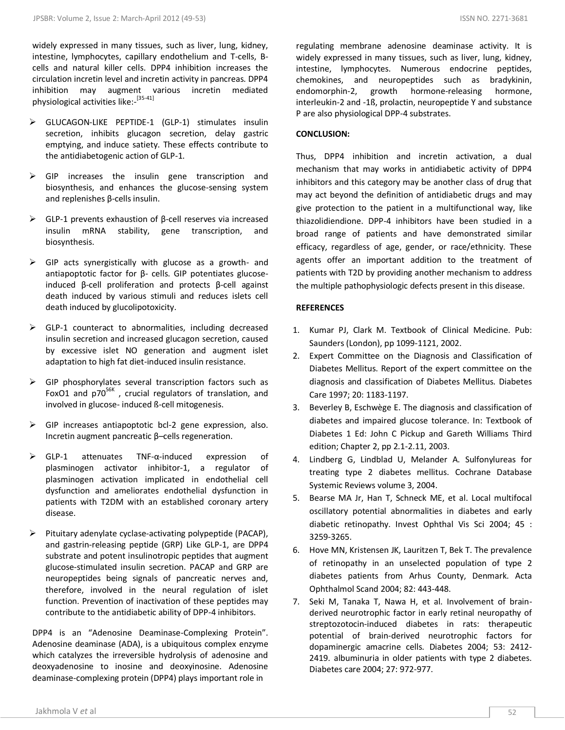widely expressed in many tissues, such as liver, lung, kidney, intestine, lymphocytes, capillary endothelium and T-cells, Bcells and natural killer cells. DPP4 inhibition increases the circulation incretin level and incretin activity in pancreas. DPP4 inhibition may augment various incretin mediated physiological activities like:- [35-41]

- GLUCAGON-LIKE PEPTIDE-1 (GLP-1) stimulates insulin secretion, inhibits glucagon secretion, delay gastric emptying, and induce satiety. These effects contribute to the antidiabetogenic action of GLP-1.
- GIP increases the insulin gene transcription and biosynthesis, and enhances the glucose-sensing system and replenishes β-cells insulin.
- $\triangleright$  GLP-1 prevents exhaustion of β-cell reserves via increased insulin mRNA stability, gene transcription, and biosynthesis.
- $\triangleright$  GIP acts synergistically with glucose as a growth- and antiapoptotic factor for β- cells. GIP potentiates glucoseinduced β-cell proliferation and protects β-cell against death induced by various stimuli and reduces islets cell death induced by glucolipotoxicity.
- $\triangleright$  GLP-1 counteract to abnormalities, including decreased insulin secretion and increased glucagon secretion, caused by excessive islet NO generation and augment islet adaptation to high fat diet-induced insulin resistance.
- $\triangleright$  GIP phosphorylates several transcription factors such as FoxO1 and  $p70^{56K}$ , crucial regulators of translation, and involved in glucose- induced ß-cell mitogenesis.
- GIP increases antiapoptotic bcl-2 gene expression, also. Incretin augment pancreatic β–cells regeneration.
- GLP-1 attenuates TNF-α-induced expression of plasminogen activator inhibitor-1, a regulator of plasminogen activation implicated in endothelial cell dysfunction and ameliorates endothelial dysfunction in patients with T2DM with an established coronary artery disease.
- $\triangleright$  Pituitary adenylate cyclase-activating polypeptide (PACAP), and gastrin-releasing peptide (GRP) Like GLP-1, are DPP4 substrate and potent insulinotropic peptides that augment glucose-stimulated insulin secretion. PACAP and GRP are neuropeptides being signals of pancreatic nerves and, therefore, involved in the neural regulation of islet function. Prevention of inactivation of these peptides may contribute to the antidiabetic ability of DPP-4 inhibitors.

DPP4 is an "Adenosine Deaminase-Complexing Protein". Adenosine deaminase (ADA), is a ubiquitous complex enzyme which catalyzes the irreversible hydrolysis of adenosine and deoxyadenosine to inosine and deoxyinosine. Adenosine deaminase-complexing protein (DPP4) plays important role in

regulating membrane adenosine deaminase activity. It is widely expressed in many tissues, such as liver, lung, kidney, intestine, lymphocytes. Numerous endocrine peptides, chemokines, and neuropeptides such as bradykinin, endomorphin-2, growth hormone-releasing hormone, interleukin-2 and -1ß, prolactin, neuropeptide Y and substance P are also physiological DPP-4 substrates.

#### **CONCLUSION:**

Thus, DPP4 inhibition and incretin activation, a dual mechanism that may works in antidiabetic activity of DPP4 inhibitors and this category may be another class of drug that may act beyond the definition of antidiabetic drugs and may give protection to the patient in a multifunctional way, like thiazolidiendione. DPP-4 inhibitors have been studied in a broad range of patients and have demonstrated similar efficacy, regardless of age, gender, or race/ethnicity. These agents offer an important addition to the treatment of patients with T2D by providing another mechanism to address the multiple pathophysiologic defects present in this disease.

#### **REFERENCES**

- 1. Kumar PJ, Clark M. Textbook of Clinical Medicine. Pub: Saunders (London), pp 1099-1121, 2002.
- 2. Expert Committee on the Diagnosis and Classification of Diabetes Mellitus. Report of the expert committee on the diagnosis and classification of Diabetes Mellitus. Diabetes Care 1997; 20: 1183-1197.
- 3. Beverley B, Eschwège E. The diagnosis and classification of diabetes and impaired glucose tolerance. In: Textbook of Diabetes 1 Ed: John C Pickup and Gareth Williams Third edition; Chapter 2, pp 2.1-2.11, 2003.
- 4. Lindberg G, Lindblad U, Melander A. Sulfonylureas for treating type 2 diabetes mellitus. Cochrane Database Systemic Reviews volume 3, 2004.
- 5. Bearse MA Jr, Han T, Schneck ME, et al. Local multifocal oscillatory potential abnormalities in diabetes and early diabetic retinopathy. Invest Ophthal Vis Sci 2004; 45 : 3259-3265.
- 6. Hove MN, Kristensen JK, Lauritzen T, Bek T. The prevalence of retinopathy in an unselected population of type 2 diabetes patients from Arhus County, Denmark. Acta Ophthalmol Scand 2004; 82: 443-448.
- 7. Seki M, Tanaka T, Nawa H, et al. Involvement of brainderived neurotrophic factor in early retinal neuropathy of streptozotocin-induced diabetes in rats: therapeutic potential of brain-derived neurotrophic factors for dopaminergic amacrine cells. Diabetes 2004; 53: 2412- 2419. albuminuria in older patients with type 2 diabetes. Diabetes care 2004; 27: 972-977.